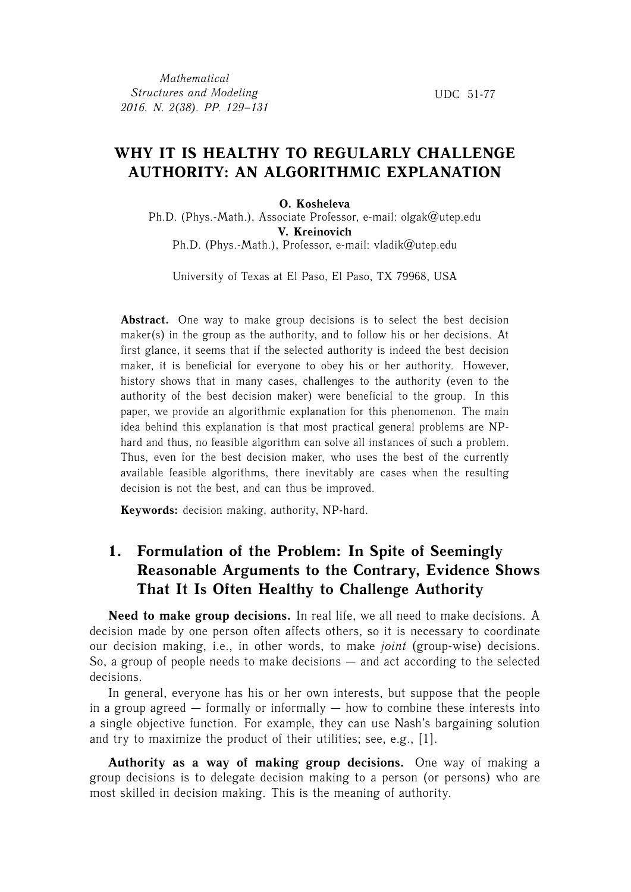## **WHY IT IS HEALTHY TO REGULARLY CHALLENGE AUTHORITY: AN ALGORITHMIC EXPLANATION**

#### **O. Kosheleva**

Ph.D. (Phys.-Math.), Associate Professor, e-mail: olgak@utep.edu **V. Kreinovich** Ph.D. (Phys.-Math.), Professor, e-mail: vladik@utep.edu

University of Texas at El Paso, El Paso, TX 79968, USA

Abstract. One way to make group decisions is to select the best decision maker(s) in the group as the authority, and to follow his or her decisions. At first glance, it seems that if the selected authority is indeed the best decision maker, it is beneficial for everyone to obey his or her authority. However, history shows that in many cases, challenges to the authority (even to the authority of the best decision maker) were beneficial to the group. In this paper, we provide an algorithmic explanation for this phenomenon. The main idea behind this explanation is that most practical general problems are NPhard and thus, no feasible algorithm can solve all instances of such a problem. Thus, even for the best decision maker, who uses the best of the currently available feasible algorithms, there inevitably are cases when the resulting decision is not the best, and can thus be improved.

**Keywords:** decision making, authority, NP-hard.

# **1. Formulation of the Problem: In Spite of Seemingly Reasonable Arguments to the Contrary, Evidence Shows That It Is Often Healthy to Challenge Authority**

**Need to make group decisions.** In real life, we all need to make decisions. A decision made by one person often affects others, so it is necessary to coordinate our decision making, i.e., in other words, to make *joint* (group-wise) decisions. So, a group of people needs to make decisions — and act according to the selected decisions.

In general, everyone has his or her own interests, but suppose that the people in a group agreed  $-$  formally or informally  $-$  how to combine these interests into a single objective function. For example, they can use Nash's bargaining solution and try to maximize the product of their utilities; see, e.g., [1].

**Authority as a way of making group decisions.** One way of making a group decisions is to delegate decision making to a person (or persons) who are most skilled in decision making. This is the meaning of authority.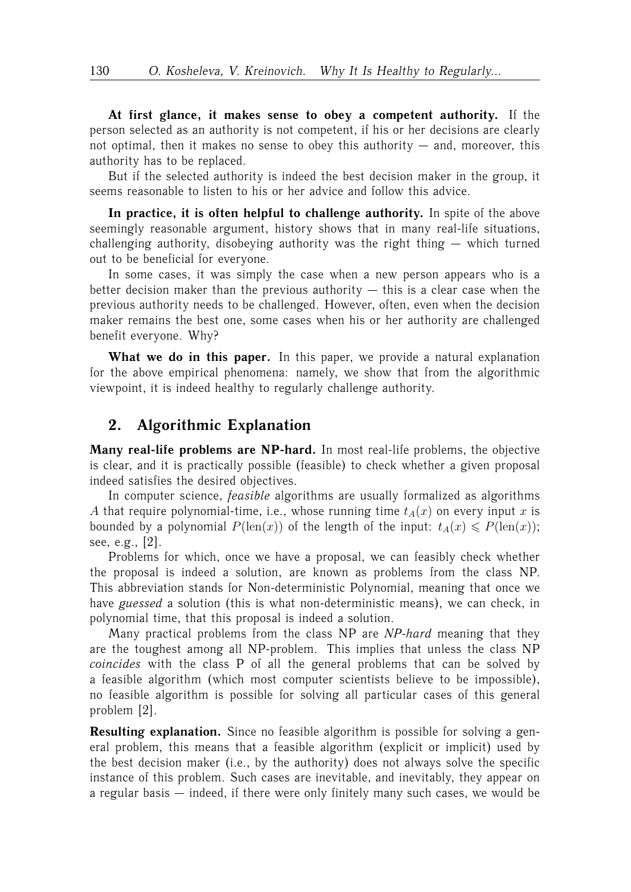**At first glance, it makes sense to obey a competent authority.** If the person selected as an authority is not competent, if his or her decisions are clearly not optimal, then it makes no sense to obey this authority — and, moreover, this authority has to be replaced.

But if the selected authority is indeed the best decision maker in the group, it seems reasonable to listen to his or her advice and follow this advice.

**In practice, it is often helpful to challenge authority.** In spite of the above seemingly reasonable argument, history shows that in many real-life situations, challenging authority, disobeying authority was the right thing — which turned out to be beneficial for everyone.

In some cases, it was simply the case when a new person appears who is a better decision maker than the previous authority  $-$  this is a clear case when the previous authority needs to be challenged. However, often, even when the decision maker remains the best one, some cases when his or her authority are challenged benefit everyone. Why?

**What we do in this paper.** In this paper, we provide a natural explanation for the above empirical phenomena: namely, we show that from the algorithmic viewpoint, it is indeed healthy to regularly challenge authority.

#### **2. Algorithmic Explanation**

**Many real-life problems are NP-hard.** In most real-life problems, the objective is clear, and it is practically possible (feasible) to check whether a given proposal indeed satisfies the desired objectives.

In computer science, *feasible* algorithms are usually formalized as algorithms A that require polynomial-time, i.e., whose running time  $t_A(x)$  on every input x is bounded by a polynomial  $P(\text{len}(x))$  of the length of the input:  $t_A(x) \leq P(\text{len}(x));$ see, e.g., [2].

Problems for which, once we have a proposal, we can feasibly check whether the proposal is indeed a solution, are known as problems from the class NP. This abbreviation stands for Non-deterministic Polynomial, meaning that once we have *guessed* a solution (this is what non-deterministic means), we can check, in polynomial time, that this proposal is indeed a solution.

Many practical problems from the class NP are *NP-hard* meaning that they are the toughest among all NP-problem. This implies that unless the class NP *coincides* with the class P of all the general problems that can be solved by a feasible algorithm (which most computer scientists believe to be impossible), no feasible algorithm is possible for solving all particular cases of this general problem [2].

**Resulting explanation.** Since no feasible algorithm is possible for solving a general problem, this means that a feasible algorithm (explicit or implicit) used by the best decision maker (i.e., by the authority) does not always solve the specific instance of this problem. Such cases are inevitable, and inevitably, they appear on a regular basis — indeed, if there were only finitely many such cases, we would be